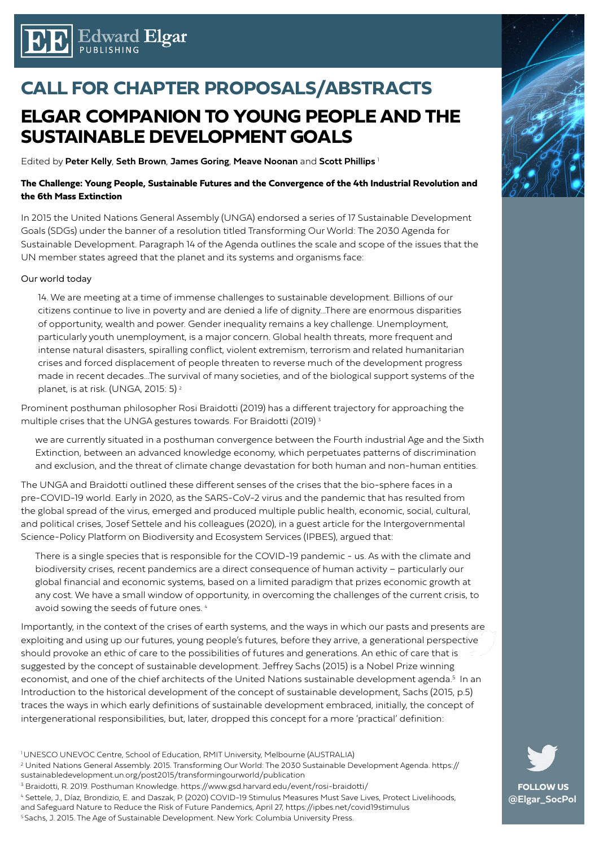

## **CALL FOR CHAPTER PROPOSALS/ABSTRACTS**

## **ELGAR COMPANION TO YOUNG PEOPLE AND THE SUSTAINABLE DEVELOPMENT GOALS**

Edited by **Peter Kelly**, **Seth Brown**, **James Goring**, **Meave Noonan** and **Scott Phillips** <sup>1</sup>

#### **The Challenge: Young People, Sustainable Futures and the Convergence of the 4th Industrial Revolution and the 6th Mass Extinction**

In 2015 the United Nations General Assembly (UNGA) endorsed a series of 17 Sustainable Development Goals (SDGs) under the banner of a resolution titled Transforming Our World: The 2030 Agenda for Sustainable Development. Paragraph 14 of the Agenda outlines the scale and scope of the issues that the UN member states agreed that the planet and its systems and organisms face:

#### Our world today

14. We are meeting at a time of immense challenges to sustainable development. Billions of our citizens continue to live in poverty and are denied a life of dignity...There are enormous disparities of opportunity, wealth and power. Gender inequality remains a key challenge. Unemployment, particularly youth unemployment, is a major concern. Global health threats, more frequent and intense natural disasters, spiralling conflict, violent extremism, terrorism and related humanitarian crises and forced displacement of people threaten to reverse much of the development progress made in recent decades…The survival of many societies, and of the biological support systems of the planet, is at risk. (UNGA, 2015: 5)<sup>2</sup>

Prominent posthuman philosopher Rosi Braidotti (2019) has a different trajectory for approaching the multiple crises that the UNGA gestures towards. For Braidotti (2019) 3

we are currently situated in a posthuman convergence between the Fourth industrial Age and the Sixth Extinction, between an advanced knowledge economy, which perpetuates patterns of discrimination and exclusion, and the threat of climate change devastation for both human and non-human entities.

The UNGA and Braidotti outlined these different senses of the crises that the bio-sphere faces in a pre-COVID-19 world. Early in 2020, as the SARS-CoV-2 virus and the pandemic that has resulted from the global spread of the virus, emerged and produced multiple public health, economic, social, cultural, and political crises, Josef Settele and his colleagues (2020), in a guest article for the Intergovernmental Science-Policy Platform on Biodiversity and Ecosystem Services (IPBES), argued that:

There is a single species that is responsible for the COVID-19 pandemic - us. As with the climate and biodiversity crises, recent pandemics are a direct consequence of human activity – particularly our global financial and economic systems, based on a limited paradigm that prizes economic growth at any cost. We have a small window of opportunity, in overcoming the challenges of the current crisis, to avoid sowing the seeds of future ones. 4

Importantly, in the context of the crises of earth systems, and the ways in which our pasts and presents are exploiting and using up our futures, young people's futures, before they arrive, a generational perspective should provoke an ethic of care to the possibilities of futures and generations. An ethic of care that is suggested by the concept of sustainable development. Jeffrey Sachs (2015) is a Nobel Prize winning economist, and one of the chief architects of the United Nations sustainable development agenda.<sup>5</sup> In an Introduction to the historical development of the concept of sustainable development, Sachs (2015, p.5) traces the ways in which early definitions of sustainable development embraced, initially, the concept of intergenerational responsibilities, but, later, dropped this concept for a more 'practical' definition:

- <sup>1</sup> UNESCO UNEVOC Centre, School of Education, RMIT University, Melbourne (AUSTRALIA)
- 2 United Nations General Assembly. 2015. Transforming Our World: The 2030 Sustainable Development Agenda. https:// sustainabledevelopment.un.org/post2015/transformingourworld/publication
- <sup>3</sup> Braidotti, R. 2019. Posthuman Knowledge. https://www.gsd.harvard.edu/event/rosi-braidotti/
- 4 Settele, J., Díaz, Brondizio, E. and Daszak, P. (2020) COVID-19 Stimulus Measures Must Save Lives, Protect Livelihoods,
- and Safeguard Nature to Reduce the Risk of Future Pandemics, April 27, https://ipbes.net/covid19stimulus
- 5 Sachs, J. 2015. The Age of Sustainable Development. New York: Columbia University Press.



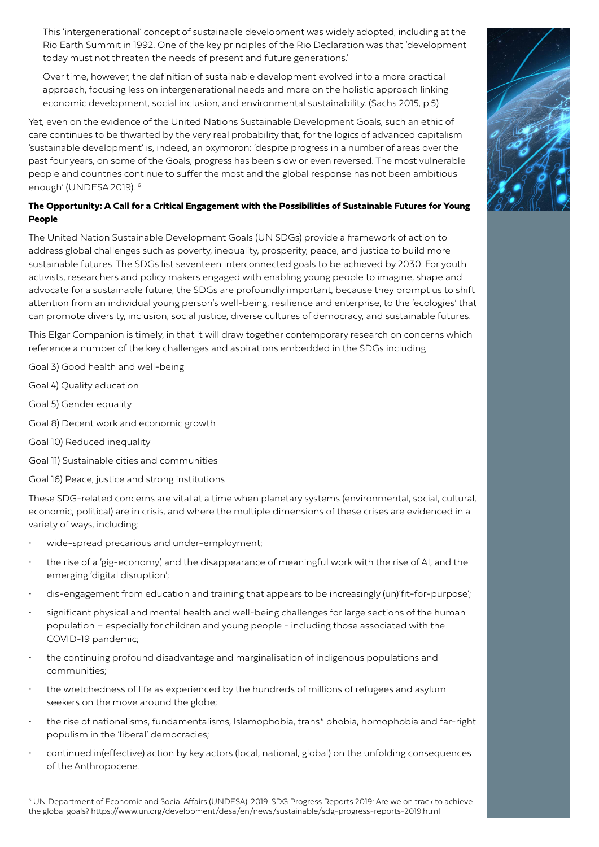This 'intergenerational' concept of sustainable development was widely adopted, including at the Rio Earth Summit in 1992. One of the key principles of the Rio Declaration was that 'development today must not threaten the needs of present and future generations.'

Over time, however, the definition of sustainable development evolved into a more practical approach, focusing less on intergenerational needs and more on the holistic approach linking economic development, social inclusion, and environmental sustainability. (Sachs 2015, p.5)

Yet, even on the evidence of the United Nations Sustainable Development Goals, such an ethic of care continues to be thwarted by the very real probability that, for the logics of advanced capitalism 'sustainable development' is, indeed, an oxymoron: 'despite progress in a number of areas over the past four years, on some of the Goals, progress has been slow or even reversed. The most vulnerable people and countries continue to suffer the most and the global response has not been ambitious enough' (UNDESA 2019). 6

### **The Opportunity: A Call for a Critical Engagement with the Possibilities of Sustainable Futures for Young People**

The United Nation Sustainable Development Goals (UN SDGs) provide a framework of action to address global challenges such as poverty, inequality, prosperity, peace, and justice to build more sustainable futures. The SDGs list seventeen interconnected goals to be achieved by 2030. For youth activists, researchers and policy makers engaged with enabling young people to imagine, shape and advocate for a sustainable future, the SDGs are profoundly important, because they prompt us to shift attention from an individual young person's well-being, resilience and enterprise, to the 'ecologies' that can promote diversity, inclusion, social justice, diverse cultures of democracy, and sustainable futures.

This Elgar Companion is timely, in that it will draw together contemporary research on concerns which reference a number of the key challenges and aspirations embedded in the SDGs including:

Goal 3) Good health and well-being

Goal 4) Quality education

Goal 5) Gender equality

Goal 8) Decent work and economic growth

Goal 10) Reduced inequality

Goal 11) Sustainable cities and communities

Goal 16) Peace, justice and strong institutions

These SDG-related concerns are vital at a time when planetary systems (environmental, social, cultural, economic, political) are in crisis, and where the multiple dimensions of these crises are evidenced in a variety of ways, including:

- wide-spread precarious and under-employment;
- the rise of a 'gig-economy', and the disappearance of meaningful work with the rise of AI, and the emerging 'digital disruption';
- dis-engagement from education and training that appears to be increasingly (un)'fit-for-purpose';
- significant physical and mental health and well-being challenges for large sections of the human population – especially for children and young people - including those associated with the COVID-19 pandemic;
- the continuing profound disadvantage and marginalisation of indigenous populations and communities;
- the wretchedness of life as experienced by the hundreds of millions of refugees and asylum seekers on the move around the globe;
- the rise of nationalisms, fundamentalisms, Islamophobia, trans\* phobia, homophobia and far-right populism in the 'liberal' democracies;
- continued in(effective) action by key actors (local, national, global) on the unfolding consequences of the Anthropocene.